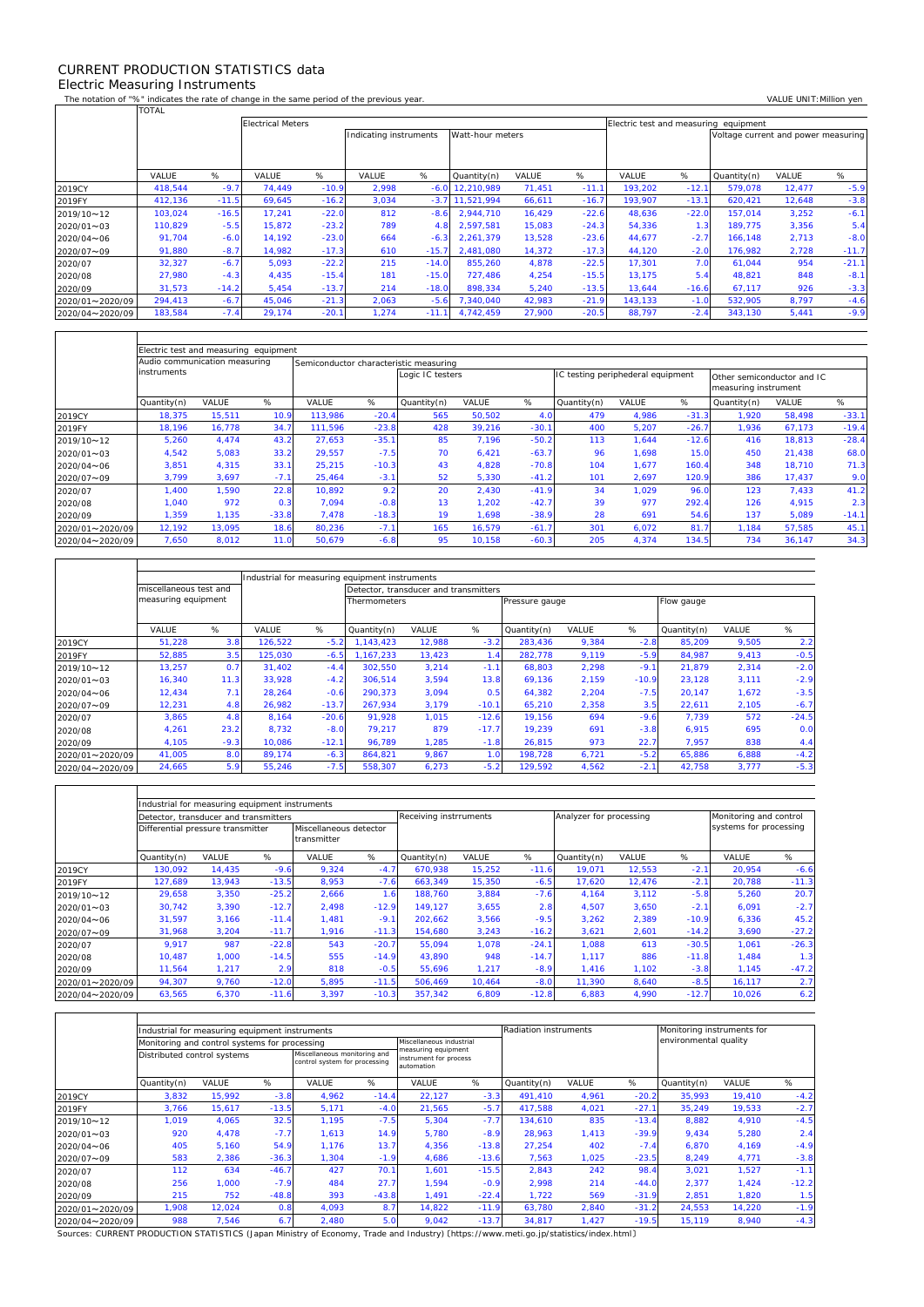## CURRENT PRODUCTION STATISTICS data Electric Measuring Instruments

 $\Gamma$ 

 $\mathbf{r}$ 

 $\overline{\mathsf{T}}$ 

┑

٦

The notation of "%" indicates the rate of change in the same period of the previous year. VALUE UNIT:Million yen<br>TOTAL TOTAL

|                 |         |         | <b>Electrical Meters</b> |         |                        |         | Electric test and measuring equipment |        |         |         |         |                                     |        |         |
|-----------------|---------|---------|--------------------------|---------|------------------------|---------|---------------------------------------|--------|---------|---------|---------|-------------------------------------|--------|---------|
|                 |         |         |                          |         | Indicating instruments |         | Watt-hour meters                      |        |         |         |         | Voltage current and power measuring |        |         |
|                 |         |         |                          |         |                        |         |                                       |        |         |         |         |                                     |        |         |
|                 |         |         |                          |         |                        |         |                                       |        |         |         |         |                                     |        |         |
|                 | VALUE   | %       | VALUE                    | %       | VALUE                  | %       | Quantity(n)                           | VALUE  | %       | VALUE   | %       | Quantity(n)                         | VALUE  | %       |
| 2019CY          | 418.544 | $-9.7$  | 74.449                   | $-10.9$ | 2,998                  | $-6.0$  | 12.210.989                            | 71,451 | $-11.1$ | 193,202 | $-12.1$ | 579,078                             | 12,477 | $-5.9$  |
| 2019FY          | 412,136 | $-11.5$ | 69,645                   | $-16.2$ | 3,034                  | $-3.7$  | 11,521,994                            | 66,611 | $-16.7$ | 193,907 | $-13.1$ | 620,421                             | 12,648 | $-3.8$  |
| 2019/10~12      | 103,024 | $-16.5$ | 17,241                   | $-22.0$ | 812                    | $-8.6$  | 2.944.710                             | 16,429 | $-22.6$ | 48,636  | $-22.0$ | 157.014                             | 3,252  | $-6.1$  |
| 2020/01~03      | 110.829 | $-5.5$  | 15.872                   | $-23.2$ | 789                    | 4.8     | 2.597.581                             | 15,083 | $-24.3$ | 54,336  | 1.3     | 189.775                             | 3,356  | 5.4     |
| 2020/04~06      | 91.704  | $-6.0$  | 14.192                   | $-23.0$ | 664                    | $-6.3$  | 2,261,379                             | 13,528 | $-23.6$ | 44.677  | $-2.7$  | 166.148                             | 2,713  | $-8.0$  |
| 2020/07~09      | 91,880  | $-8.7$  | 14,982                   | $-17.3$ | 610                    | $-15.7$ | 2,481,080                             | 14,372 | $-17.3$ | 44,120  | $-2.0$  | 176,982                             | 2,728  | $-11.7$ |
| 2020/07         | 32,327  | $-6.7$  | 5,093                    | $-22.2$ | 215                    | $-14.0$ | 855.260                               | 4,878  | $-22.5$ | 17,301  | 7.0     | 61,044                              | 954    | $-21.1$ |
| 2020/08         | 27,980  | $-4.3$  | 4.435                    | $-15.4$ | 181                    | $-15.0$ | 727.486                               | 4,254  | $-15.5$ | 13.175  | 5.4     | 48,821                              | 848    | $-8.1$  |
| 2020/09         | 31,573  | $-14.2$ | 5,454                    | $-13.7$ | 214                    | $-18.0$ | 898,334                               | 5,240  | $-13.5$ | 13,644  | $-16.6$ | 67,117                              | 926    | $-3.3$  |
| 2020/01~2020/09 | 294,413 | $-6.7$  | 45,046                   | $-21.3$ | 2,063                  | $-5.6$  | 7,340,040                             | 42,983 | $-21.9$ | 143,133 | $-1.0$  | 532,905                             | 8,797  | $-4.6$  |
| 2020/04~2020/09 | 183,584 | $-7.4$  | 29,174                   | $-20.1$ | 1,274                  | $-11.1$ | 4.742.459                             | 27,900 | $-20.5$ | 88,797  | $-2.4$  | 343,130                             | 5,441  | $-9.9$  |

|                 |                                                                         | Electric test and measuring equipment |         |         |         |                  |        |                |                                   |       |                 |                                                    |              |         |
|-----------------|-------------------------------------------------------------------------|---------------------------------------|---------|---------|---------|------------------|--------|----------------|-----------------------------------|-------|-----------------|----------------------------------------------------|--------------|---------|
|                 | Audio communication measuring<br>Semiconductor characteristic measuring |                                       |         |         |         |                  |        |                |                                   |       |                 |                                                    |              |         |
|                 | instruments                                                             |                                       |         |         |         | Logic IC testers |        |                | IC testing periphederal equipment |       |                 | Other semiconductor and IC<br>measuring instrument |              |         |
|                 | Quantity(n)                                                             | VALUE                                 | %       | VALUE   | %       | Quantity(n)      | VALUE  | %              | Quantity(n)                       | VALUE | %               | Quantity(n)                                        | <b>VALUE</b> | %       |
| 2019CY          | 18,375                                                                  | 15,511                                | 10.9    | 113.986 | $-20.4$ | 565              | 50,502 | 4 <sub>c</sub> | 479                               | 4,986 | $-31.3$         | 1,920                                              | 58,498       | $-33.1$ |
| 2019FY          | 18.196                                                                  | 16.778                                | 34.7    | 111.596 | $-23.8$ | 428              | 39,216 | $-30.1$        | 400                               | 5,207 | $-26.7$         | 1.936                                              | 67,173       | $-19.4$ |
| 2019/10~12      | 5,260                                                                   | 4.474                                 | 43.2    | 27,653  | $-35.1$ | 85               | 7.196  | $-50.2$        | 113                               | 1,644 | $-12.6$         | 416                                                | 18,813       | $-28.4$ |
| 2020/01~03      | 4,542                                                                   | 5,083                                 | 33.2    | 29,557  | $-7.5$  | 70               | 6,421  | $-63.7$        | 96                                | 1,698 | 15 <sub>c</sub> | 450                                                | 21,438       | 68.0    |
| 2020/04~06      | 3,851                                                                   | 4,315                                 | 33.1    | 25,215  | $-10.3$ | 43               | 4,828  | $-70.8$        | 104                               | 1,677 | 160.4           | 348                                                | 18,710       | 71.3    |
| 2020/07~09      | 3,799                                                                   | 3,697                                 | $-7.1$  | 25,464  | $-3.1$  | 52               | 5,330  | $-41.2$        | 101                               | 2,697 | 120.9           | 386                                                | 17,437       | 9.0     |
| 2020/07         | 1,400                                                                   | 1,590                                 | 22.8    | 10,892  | 9.2     | 20               | 2,430  | $-41.9$        | 34                                | 1,029 | 96.0            | 123                                                | 7,433        | 41.2    |
| 2020/08         | 1,040                                                                   | 972                                   | 0.3     | 7.094   | $-0.8$  | 13               | 1,202  | $-42.7$        | 39                                | 977   | 292.4           | 126                                                | 4.915        | 2.3     |
| 2020/09         | , 359                                                                   | 1,135                                 | $-33.8$ | 7,478   | $-18.3$ | 19               | 1.698  | $-38.9$        | 28                                | 691   | 54.6            | 137                                                | 5,089        | $-14.1$ |
| 2020/01~2020/09 | 12,192                                                                  | 13,095                                | 18.6    | 80,236  | $-7.1$  | 165              | 16,579 | $-61.7$        | 301                               | 6,072 | 81.7            | 1,184                                              | 57,585       | 45.1    |
| 2020/04~2020/09 | 7,650                                                                   | 8,012                                 | 11.0    | 50,679  | $-6.8$  | 95               | 10,158 | $-60.3$        | 205                               | 4,374 | 134.5           | 734                                                | 36,147       | 34.3    |

|                 |                        |        | Industrial for measuring equipment instruments |         |                                       |        |               |                |       |         |             |       |         |
|-----------------|------------------------|--------|------------------------------------------------|---------|---------------------------------------|--------|---------------|----------------|-------|---------|-------------|-------|---------|
|                 | miscellaneous test and |        |                                                |         | Detector, transducer and transmitters |        |               |                |       |         |             |       |         |
|                 | measuring equipment    |        |                                                |         | <b>Thermometers</b>                   |        |               | Pressure gauge |       |         | Flow gauge  |       |         |
|                 | VALUE                  | %      | VALUE                                          | %       | Quantity(n)                           | VALUE  | %             | Quantity(n)    | VALUE | %       | Quantity(n) | VALUE | %       |
| 2019CY          | 51,228                 | 3.8    | 126,522                                        | $-5.2$  | 1.143.423                             | 12,988 | $-3.2$        | 283,436        | 9,384 | $-2.8$  | 85.209      | 9,505 | 2.2     |
| 2019FY          | 52,885                 | 3.5    | 125,030                                        | $-6.5$  | 1.167.233                             | 13,423 | $\epsilon$ .4 | 282,778        | 9,119 | $-5.9$  | 84.987      | 9,413 | $-0.5$  |
| 2019/10~12      | 13,257                 | 0.7    | 31.402                                         | $-4.4$  | 302.550                               | 3,214  | $-1.1$        | 68.803         | 2,298 | $-9.1$  | 21.879      | 2,314 | $-2.0$  |
| 2020/01~03      | 16,340                 | 11.3   | 33.928                                         | $-4.2$  | 306.514                               | 3,594  | 13.8          | 69.136         | 2,159 | $-10.9$ | 23.128      | 3,111 | $-2.9$  |
| 2020/04~06      | 12,434                 | 7.1    | 28.264                                         | $-0.6$  | 290.373                               | 3,094  | 0.5           | 64,382         | 2,204 | $-7.5$  | 20,147      | 1,672 | $-3.5$  |
| 2020/07~09      | 12,231                 | 4.8    | 26,982                                         | $-13.7$ | 267.934                               | 3,179  | $-10.1$       | 65,210         | 2,358 | 3.5     | 22,611      | 2,105 | $-6.7$  |
| 2020/07         | 3.865                  | 4.8    | 8.164                                          | $-20.6$ | 91.928                                | 1.015  | $-12.6$       | 19.156         | 694   | $-9.6$  | 7.739       | 572   | $-24.5$ |
| 2020/08         | 4,261                  | 23.2   | 8,732                                          | $-8.0$  | 79.217                                | 879    | $-17.7$       | 19.239         | 691   | $-3.8$  | 6,915       | 695   | 0.0     |
| 2020/09         | 4,105                  | $-9.3$ | 10,086                                         | $-12.1$ | 96.789                                | 1.285  | $-1.8$        | 26,815         | 973   | 22.7    | 7.957       | 838   | 4.4     |
| 2020/01~2020/09 | 41,005                 | 8.0    | 89,174                                         | $-6.3$  | 864,821                               | 9,867  | 1.0           | 198.728        | 6,721 | $-5.2$  | 65,886      | 6,888 | $-4.2$  |
| 2020/04~2020/09 | 24,665                 | 5.9    | 55,246                                         | $-7.5$  | 558,307                               | 6,273  | $-5.2$        | 129,592        | 4,562 | $-2.1$  | 42,758      | 3,777 | $-5.3$  |

|                 |                                       | Industrial for measuring equipment instruments |         |                                       |         |                        |        |         |                         |        |                        |        |         |
|-----------------|---------------------------------------|------------------------------------------------|---------|---------------------------------------|---------|------------------------|--------|---------|-------------------------|--------|------------------------|--------|---------|
|                 | Detector, transducer and transmitters |                                                |         |                                       |         | Receiving instrruments |        |         | Analyzer for processing |        | Monitoring and control |        |         |
|                 | Differential pressure transmitter     |                                                |         | Miscellaneous detector<br>transmitter |         |                        |        |         |                         |        | systems for processing |        |         |
|                 | Quantity(n)                           | <b>VALUE</b>                                   | %       | <b>VALUE</b>                          | %       | Quantity(n)            | VALUE  | %       | Quantity(n)             | VALUE  | %                      | VALUE  | %       |
| 2019CY          | 130.092                               | 14,435                                         | $-9.6$  | 9,324                                 | $-4.7$  | 670.938                | 15,252 | $-11.6$ | 19.071                  | 12,553 | $-2.1$                 | 20,954 | $-6.6$  |
| 2019FY          | 127,689                               | 13,943                                         | $-13.5$ | 8,953                                 | $-7.6$  | 663,349                | 15,350 | $-6.5$  | 17,620                  | 12,476 | $-2.1$                 | 20,788 | $-11.3$ |
| 2019/10~12      | 29,658                                | 3,350                                          | $-25.2$ | 2,666                                 | .6      | 188.760                | 3,884  | $-7.6$  | 4.164                   | 3.112  | $-5.8$                 | 5,260  | 20.7    |
| 2020/01~03      | 30,742                                | 3,390                                          | $-12.7$ | 2.498                                 | $-12.9$ | 149.127                | 3,655  | 2.8     | 4,507                   | 3,650  | $-2.1$                 | 6,091  | $-2.7$  |
| 2020/04~06      | 31,597                                | 3,166                                          | $-11.4$ | 1,481                                 | $-9.1$  | 202,662                | 3,566  | $-9.5$  | 3,262                   | 2,389  | $-10.9$                | 6,336  | 45.2    |
| 2020/07~09      | 31,968                                | 3,204                                          | $-11.7$ | 1,916                                 | $-11.3$ | 154,680                | 3,243  | $-16.2$ | 3,621                   | 2,601  | $-14.2$                | 3,690  | $-27.2$ |
| 2020/07         | 9,917                                 | 987                                            | $-22.8$ | 543                                   | $-20.7$ | 55.094                 | 1,078  | $-24.1$ | 1,088                   | 613    | $-30.5$                | 1,061  | $-26.3$ |
| 2020/08         | 10,487                                | 1,000                                          | $-14.5$ | 555                                   | $-14.9$ | 43,890                 | 948    | $-14.7$ | 1,117                   | 886    | $-11.8$                | 1,484  | 1.3     |
| 2020/09         | 11,564                                | 1,217                                          | 2.9     | 818                                   | $-0.5$  | 55.696                 | 1,217  | $-8.9$  | 1.416                   | 1,102  | $-3.8$                 | 1,145  | $-47.2$ |
| 2020/01~2020/09 | 94,307                                | 9,760                                          | $-12.0$ | 5,895                                 | $-11.5$ | 506,469                | 10,464 | $-8.0$  | 11,390                  | 8,640  | $-8.5$                 | 16,117 | 2.7     |
| 2020/04~2020/09 | 63,565                                | 6,370                                          | $-11.6$ | 3,397                                 | $-10.3$ | 357,342                | 6,809  | $-12.8$ | 6,883                   | 4,990  | $-12.7$                | 10,026 | 6.2     |

|                 |                             | Industrial for measuring equipment instruments |         |                                                               |                | <b>Radiation instruments</b>                                |         |             | Monitoring instruments for |         |                       |        |         |  |
|-----------------|-----------------------------|------------------------------------------------|---------|---------------------------------------------------------------|----------------|-------------------------------------------------------------|---------|-------------|----------------------------|---------|-----------------------|--------|---------|--|
|                 |                             | Monitoring and control systems for processing  |         |                                                               |                | Miscellaneous industrial                                    |         |             |                            |         | environmental quality |        |         |  |
|                 | Distributed control systems |                                                |         | Miscellaneous monitoring and<br>control system for processing |                | measuring equipment<br>instrument for process<br>automation |         |             |                            |         |                       |        |         |  |
|                 | Quantity(n)                 | <b>VALUE</b>                                   | %       | VALUE                                                         | %              | VALUE                                                       | %       | Quantity(n) | VALUE                      | %       | Quantity(n)           | VALUE  | %       |  |
| 2019CY          | 3,832                       | 15,992                                         | $-3.8$  | 4,962                                                         | $-14.4$        | 22,127                                                      | $-3.3$  | 491,410     | 4,961                      | $-20.2$ | 35,993                | 19,410 | $-4.2$  |  |
| 2019FY          | 3,766                       | 15,617                                         | $-13.5$ | 5,171                                                         | $-4.0$         | 21,565                                                      | $-5.7$  | 417,588     | 4,021                      | $-27.1$ | 35,249                | 19,533 | $-2.7$  |  |
| 2019/10~12      | 1.019                       | 4.065                                          | 32.5    | 1.195                                                         | $-7.5$         | 5.304                                                       | $-7.7$  | 134.610     | 835                        | $-13.4$ | 8.882                 | 4.910  | $-4.5$  |  |
| 2020/01~03      | 920                         | 4.478                                          | $-7.7$  | 1.613                                                         | 14.9           | 5.780                                                       | $-8.9$  | 28.963      | 1.413                      | $-39.9$ | 9.434                 | 5,280  | 2.4     |  |
| 2020/04~06      | 405                         | 5,160                                          | 54.9    | 1.176                                                         | 13.7           | 4.356                                                       | $-13.8$ | 27.254      | 402                        | $-7.4$  | 6,870                 | 4,169  | $-4.9$  |  |
| 2020/07~09      | 583                         | 2,386                                          | $-36.3$ | 1,304                                                         | $-1.9$         | 4,686                                                       | $-13.6$ | 7,563       | 1,025                      | $-23.5$ | 8,249                 | 4,771  | $-3.8$  |  |
| 2020/07         | 112                         | 634                                            | $-46.7$ | 427                                                           | 70.1           | 1.601                                                       | $-15.5$ | 2.843       | 242                        | 98.4    | 3.021                 | 1,527  | $-1.1$  |  |
| 2020/08         | 256                         | 1.000                                          | $-7.9$  | 484                                                           | 27.7           | 1.594                                                       | $-0.9$  | 2.998       | 214                        | $-44.0$ | 2.377                 | 1.424  | $-12.2$ |  |
| 2020/09         | 215                         | 752                                            | $-48.8$ | 393                                                           | $-43.8$        | 1,491                                                       | $-22.4$ | 1,722       | 569                        | $-31.9$ | 2,851                 | 1,820  | 1.5     |  |
| 2020/01~2020/09 | 809.1                       | 12,024                                         | 0.8     | 4,093                                                         | 8.7            | 14.822                                                      | $-11.9$ | 63.780      | 2,840                      | $-31.2$ | 24,553                | 14,220 | $-1.9$  |  |
| 2020/04~2020/09 | 988                         | 7,546                                          | 6.7     | 2,480                                                         | 5 <sub>c</sub> | 9,042                                                       | $-13.7$ | 34,817      | 1,427                      | $-19.5$ | 15,119                | 8,940  | $-4.3$  |  |

Sources: CURRENT PRODUCTION STATISTICS (Japan Ministry of Economy, Trade and Industry) 〔https://www.meti.go.jp/statistics/index.html〕